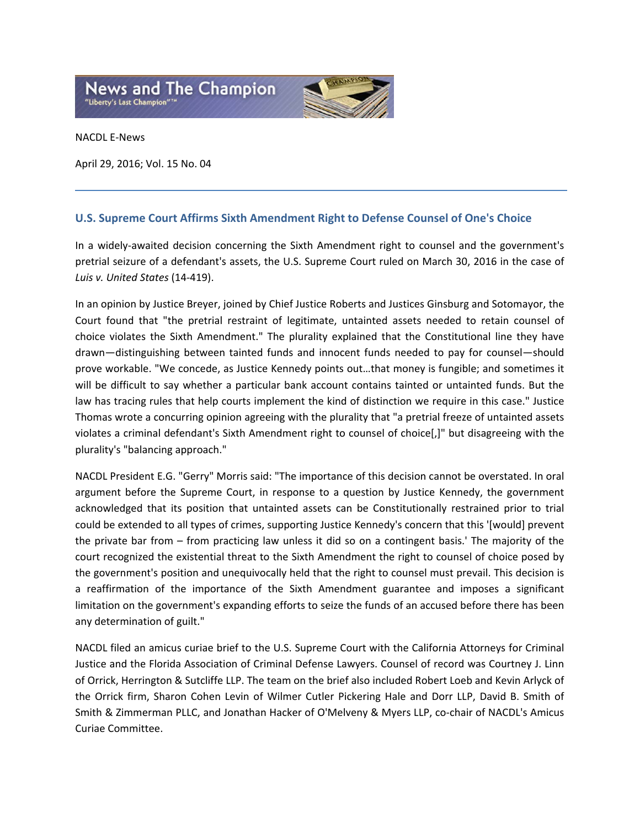

NACDL E‐News

April 29, 2016; Vol. 15 No. 04

## **U.S. Supreme Court Affirms Sixth Amendment Right to Defense Counsel of One's Choice**

In a widely-awaited decision concerning the Sixth Amendment right to counsel and the government's pretrial seizure of a defendant's assets, the U.S. Supreme Court ruled on March 30, 2016 in the case of *Luis v. United States* (14‐419).

In an opinion by Justice Breyer, joined by Chief Justice Roberts and Justices Ginsburg and Sotomayor, the Court found that "the pretrial restraint of legitimate, untainted assets needed to retain counsel of choice violates the Sixth Amendment." The plurality explained that the Constitutional line they have drawn—distinguishing between tainted funds and innocent funds needed to pay for counsel—should prove workable. "We concede, as Justice Kennedy points out…that money is fungible; and sometimes it will be difficult to say whether a particular bank account contains tainted or untainted funds. But the law has tracing rules that help courts implement the kind of distinction we require in this case." Justice Thomas wrote a concurring opinion agreeing with the plurality that "a pretrial freeze of untainted assets violates a criminal defendant's Sixth Amendment right to counsel of choice[,]" but disagreeing with the plurality's "balancing approach."

NACDL President E.G. "Gerry" Morris said: "The importance of this decision cannot be overstated. In oral argument before the Supreme Court, in response to a question by Justice Kennedy, the government acknowledged that its position that untainted assets can be Constitutionally restrained prior to trial could be extended to all types of crimes, supporting Justice Kennedy's concern that this '[would] prevent the private bar from – from practicing law unless it did so on a contingent basis.' The majority of the court recognized the existential threat to the Sixth Amendment the right to counsel of choice posed by the government's position and unequivocally held that the right to counsel must prevail. This decision is a reaffirmation of the importance of the Sixth Amendment guarantee and imposes a significant limitation on the government's expanding efforts to seize the funds of an accused before there has been any determination of guilt."

NACDL filed an amicus curiae brief to the U.S. Supreme Court with the California Attorneys for Criminal Justice and the Florida Association of Criminal Defense Lawyers. Counsel of record was Courtney J. Linn of Orrick, Herrington & Sutcliffe LLP. The team on the brief also included Robert Loeb and Kevin Arlyck of the Orrick firm, Sharon Cohen Levin of Wilmer Cutler Pickering Hale and Dorr LLP, David B. Smith of Smith & Zimmerman PLLC, and Jonathan Hacker of O'Melveny & Myers LLP, co‐chair of NACDL's Amicus Curiae Committee.